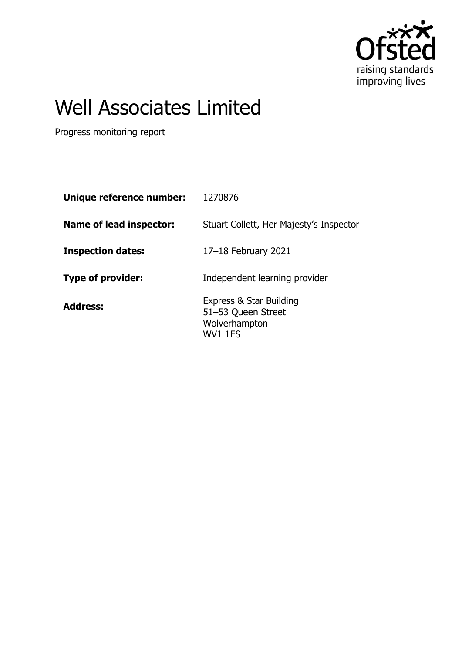

## Well Associates Limited

Progress monitoring report

| Unique reference number:       | 1270876                                                                   |
|--------------------------------|---------------------------------------------------------------------------|
| <b>Name of lead inspector:</b> | Stuart Collett, Her Majesty's Inspector                                   |
| <b>Inspection dates:</b>       | 17-18 February 2021                                                       |
| Type of provider:              | Independent learning provider                                             |
| <b>Address:</b>                | Express & Star Building<br>51-53 Queen Street<br>Wolverhampton<br>WV1 1ES |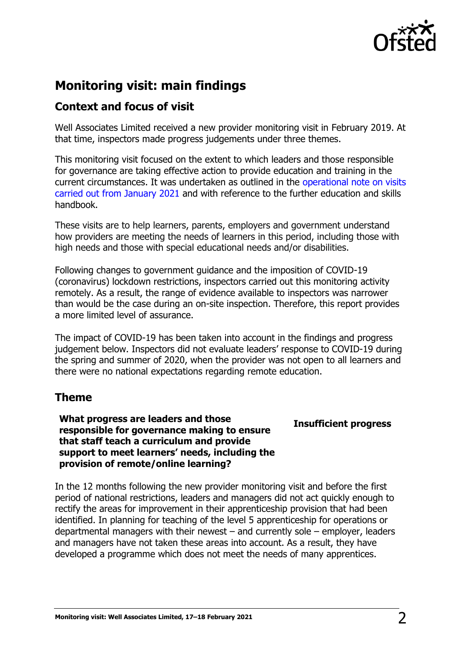

## **Monitoring visit: main findings**

## **Context and focus of visit**

Well Associates Limited received a new provider monitoring visit in February 2019. At that time, inspectors made progress judgements under three themes.

This monitoring visit focused on the extent to which leaders and those responsible for governance are taking effective action to provide education and training in the current circumstances. It was undertaken as outlined in the [operational note on visits](https://www.gov.uk/guidance/january-2021-further-education-and-skills-providers)  [carried out from January 2021](https://www.gov.uk/guidance/january-2021-further-education-and-skills-providers) and with reference to the further education and skills handbook.

These visits are to help learners, parents, employers and government understand how providers are meeting the needs of learners in this period, including those with high needs and those with special educational needs and/or disabilities.

Following changes to government guidance and the imposition of COVID-19 (coronavirus) lockdown restrictions, inspectors carried out this monitoring activity remotely. As a result, the range of evidence available to inspectors was narrower than would be the case during an on-site inspection. Therefore, this report provides a more limited level of assurance.

The impact of COVID-19 has been taken into account in the findings and progress judgement below. Inspectors did not evaluate leaders' response to COVID-19 during the spring and summer of 2020, when the provider was not open to all learners and there were no national expectations regarding remote education.

## **Theme**

**What progress are leaders and those responsible for governance making to ensure that staff teach a curriculum and provide support to meet learners' needs, including the provision of remote/online learning?**

**Insufficient progress**

In the 12 months following the new provider monitoring visit and before the first period of national restrictions, leaders and managers did not act quickly enough to rectify the areas for improvement in their apprenticeship provision that had been identified. In planning for teaching of the level 5 apprenticeship for operations or departmental managers with their newest – and currently sole – employer, leaders and managers have not taken these areas into account. As a result, they have developed a programme which does not meet the needs of many apprentices.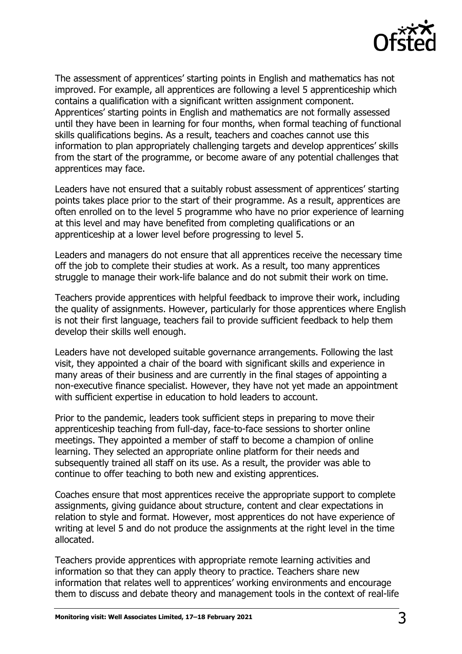

The assessment of apprentices' starting points in English and mathematics has not improved. For example, all apprentices are following a level 5 apprenticeship which contains a qualification with a significant written assignment component. Apprentices' starting points in English and mathematics are not formally assessed until they have been in learning for four months, when formal teaching of functional skills qualifications begins. As a result, teachers and coaches cannot use this information to plan appropriately challenging targets and develop apprentices' skills from the start of the programme, or become aware of any potential challenges that apprentices may face.

Leaders have not ensured that a suitably robust assessment of apprentices' starting points takes place prior to the start of their programme. As a result, apprentices are often enrolled on to the level 5 programme who have no prior experience of learning at this level and may have benefited from completing qualifications or an apprenticeship at a lower level before progressing to level 5.

Leaders and managers do not ensure that all apprentices receive the necessary time off the job to complete their studies at work. As a result, too many apprentices struggle to manage their work-life balance and do not submit their work on time.

Teachers provide apprentices with helpful feedback to improve their work, including the quality of assignments. However, particularly for those apprentices where English is not their first language, teachers fail to provide sufficient feedback to help them develop their skills well enough.

Leaders have not developed suitable governance arrangements. Following the last visit, they appointed a chair of the board with significant skills and experience in many areas of their business and are currently in the final stages of appointing a non-executive finance specialist. However, they have not yet made an appointment with sufficient expertise in education to hold leaders to account.

Prior to the pandemic, leaders took sufficient steps in preparing to move their apprenticeship teaching from full-day, face-to-face sessions to shorter online meetings. They appointed a member of staff to become a champion of online learning. They selected an appropriate online platform for their needs and subsequently trained all staff on its use. As a result, the provider was able to continue to offer teaching to both new and existing apprentices.

Coaches ensure that most apprentices receive the appropriate support to complete assignments, giving guidance about structure, content and clear expectations in relation to style and format. However, most apprentices do not have experience of writing at level 5 and do not produce the assignments at the right level in the time allocated.

Teachers provide apprentices with appropriate remote learning activities and information so that they can apply theory to practice. Teachers share new information that relates well to apprentices' working environments and encourage them to discuss and debate theory and management tools in the context of real-life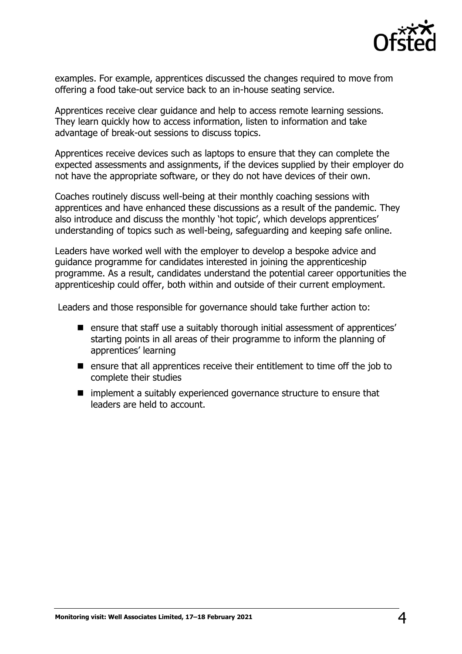

examples. For example, apprentices discussed the changes required to move from offering a food take-out service back to an in-house seating service.

Apprentices receive clear guidance and help to access remote learning sessions. They learn quickly how to access information, listen to information and take advantage of break-out sessions to discuss topics.

Apprentices receive devices such as laptops to ensure that they can complete the expected assessments and assignments, if the devices supplied by their employer do not have the appropriate software, or they do not have devices of their own.

Coaches routinely discuss well-being at their monthly coaching sessions with apprentices and have enhanced these discussions as a result of the pandemic. They also introduce and discuss the monthly 'hot topic', which develops apprentices' understanding of topics such as well-being, safeguarding and keeping safe online.

Leaders have worked well with the employer to develop a bespoke advice and guidance programme for candidates interested in joining the apprenticeship programme. As a result, candidates understand the potential career opportunities the apprenticeship could offer, both within and outside of their current employment.

Leaders and those responsible for governance should take further action to:

- ensure that staff use a suitably thorough initial assessment of apprentices' starting points in all areas of their programme to inform the planning of apprentices' learning
- $\blacksquare$  ensure that all apprentices receive their entitlement to time off the job to complete their studies
- $\blacksquare$  implement a suitably experienced governance structure to ensure that leaders are held to account.